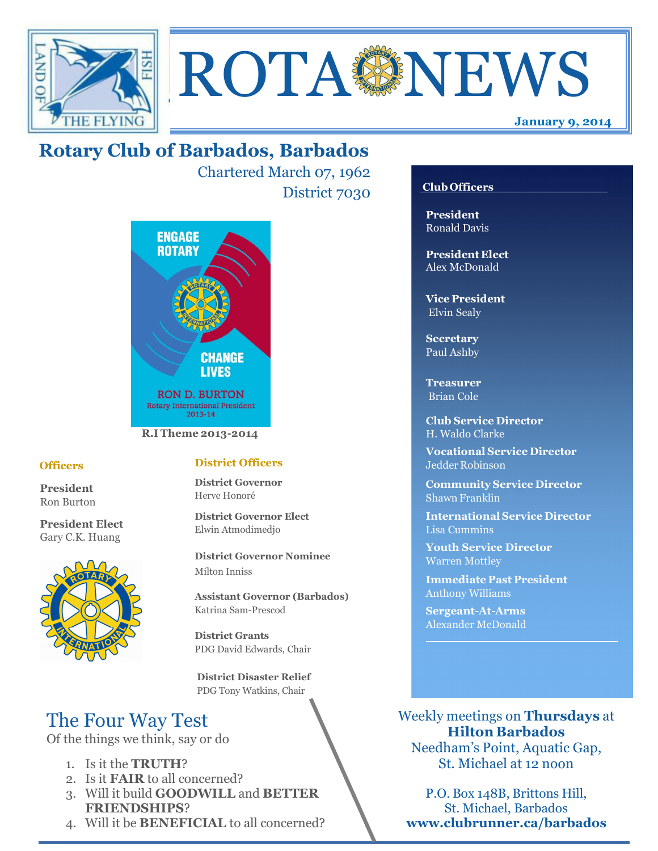



# **Rotary Club of Barbados, Barbados**

Chartered March 07, 1962 District 7030



#### **R.I Theme 2013-2014**

#### **Officers**

**President** Ron Burton

**President Elect** Gary C.K. Huang



#### **District Officers**

**District Governor** Herve Honoré

**District Governor Elect** Elwin Atmodimedjo

**District Governor Nominee**  Milton Inniss

**Assistant Governor (Barbados)** Katrina Sam-Prescod

**District Grants**  PDG David Edwards, Chair

 **District Disaster Relief** PDG Tony Watkins, Chair

## The Four Way Test

Of the things we think, say or do

- 1. Is it the **TRUTH**?
- 2. Is it **FAIR** to all concerned?
- 3. Will it build **GOODWILL** and **BETTER FRIENDSHIPS**?
- 4. Will it be **BENEFICIAL** to all concerned?

#### **Club Officers**

**President** Ronald Davis

**President Elect**  Alex McDonald

**Vice President** Elvin Sealy

**Secretary** Paul Ashby

**Treasurer** Brian Cole

**Club Service Director** H. Waldo Clarke

**Vocational Service Director** Jedder Robinson

**Community Service Director** Shawn Franklin

**International Service Director** Lisa Cummins

**Youth Service Director** Warren Mottley

**Immediate Past President** Anthony Williams

**Sergeant-At-Arms** Alexander McDonald

Weekly meetings on **Thursdays** at **Hilton Barbados** Needham's Point, Aquatic Gap,

St. Michael at 12 noon

P.O. Box 148B, Brittons Hill, St. Michael, Barbados **www.clubrunner.ca/barbados**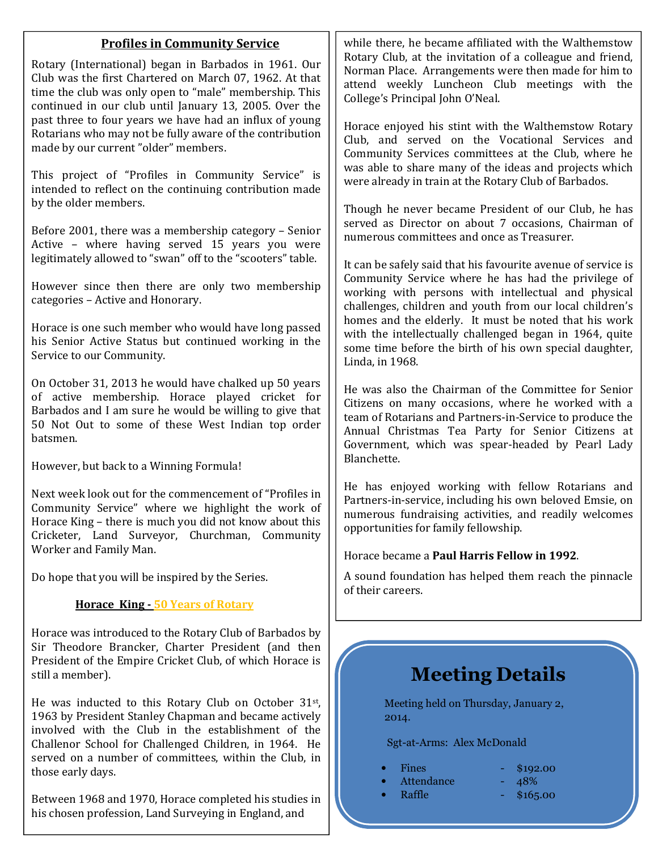#### **Profiles in Community Service**

Rotary (International) began in Barbados in 1961. Our Club was the first Chartered on March 07, 1962. At that time the club was only open to "male" membership. This continued in our club until January 13, 2005. Over the past three to four years we have had an influx of young Rotarians who may not be fully aware of the contribution made by our current "older" members.

This project of "Profiles in Community Service" is intended to reflect on the continuing contribution made by the older members.

Before 2001, there was a membership category – Senior Active – where having served 15 years you were legitimately allowed to "swan" off to the "scooters" table.

However since then there are only two membership categories – Active and Honorary.

Horace is one such member who would have long passed his Senior Active Status but continued working in the Service to our Community.

On October 31, 2013 he would have chalked up 50 years of active membership. Horace played cricket for Barbados and I am sure he would be willing to give that 50 Not Out to some of these West Indian top order batsmen.

However, but back to a Winning Formula!

Next week look out for the commencement of "Profiles in Community Service" where we highlight the work of Horace King – there is much you did not know about this Cricketer, Land Surveyor, Churchman, Community Worker and Family Man.

Do hope that you will be inspired by the Series.

#### **Horace King - 50 Years of Rotary**

Horace was introduced to the Rotary Club of Barbados by Sir Theodore Brancker, Charter President (and then President of the Empire Cricket Club, of which Horace is still a member).

He was inducted to this Rotary Club on October 31st, 1963 by President Stanley Chapman and became actively involved with the Club in the establishment of the Challenor School for Challenged Children, in 1964. He served on a number of committees, within the Club, in those early days.

Between 1968 and 1970, Horace completed his studies in his chosen profession, Land Surveying in England, and

while there, he became affiliated with the Walthemstow Rotary Club, at the invitation of a colleague and friend, Norman Place. Arrangements were then made for him to attend weekly Luncheon Club meetings with the College's Principal John O'Neal.

Horace enjoyed his stint with the Walthemstow Rotary Club, and served on the Vocational Services and Community Services committees at the Club, where he was able to share many of the ideas and projects which were already in train at the Rotary Club of Barbados.

Though he never became President of our Club, he has served as Director on about 7 occasions, Chairman of numerous committees and once as Treasurer.

It can be safely said that his favourite avenue of service is Community Service where he has had the privilege of working with persons with intellectual and physical challenges, children and youth from our local children's homes and the elderly. It must be noted that his work with the intellectually challenged began in 1964, quite some time before the birth of his own special daughter, Linda, in 1968.

He was also the Chairman of the Committee for Senior Citizens on many occasions, where he worked with a team of Rotarians and Partners-in-Service to produce the Annual Christmas Tea Party for Senior Citizens at Government, which was spear-headed by Pearl Lady Blanchette.

He has enjoyed working with fellow Rotarians and Partners-in-service, including his own beloved Emsie, on numerous fundraising activities, and readily welcomes opportunities for family fellowship.

Horace became a **Paul Harris Fellow in 1992**.

A sound foundation has helped them reach the pinnacle of their careers.

## **Meeting Details**

Meeting held on Thursday, January 2, 2014.

Sgt-at-Arms: Alex McDonald

| <b>Fines</b> | 35 J |
|--------------|------|
|              |      |

- Attendance 48%
- $92.00$ 
	- **Raffle \$165.00**
-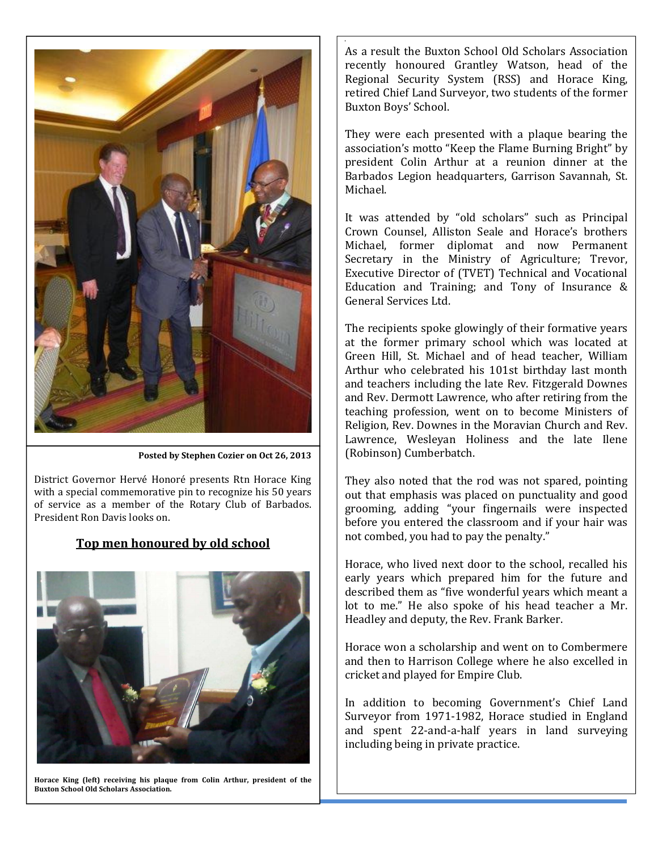

**Posted by Stephen Cozier on Oct 26, 2013** 

District Governor Hervé Honoré presents Rtn Horace King with a special commemorative pin to recognize his 50 years of service as a member of the Rotary Club of Barbados. President Ron Davis looks on.

#### **Top men honoured by old school**



**Horace King (left) receiving his plaque from Colin Arthur, president of the Buxton School Old Scholars Association.** 

As a result the Buxton School Old Scholars Association recently honoured Grantley Watson, head of the Regional Security System (RSS) and Horace King, retired Chief Land Surveyor, two students of the former Buxton Boys' School.

They were each presented with a plaque bearing the association's motto "Keep the Flame Burning Bright" by president Colin Arthur at a reunion dinner at the Barbados Legion headquarters, Garrison Savannah, St. Michael.

It was attended by "old scholars" such as Principal Crown Counsel, Alliston Seale and Horace's brothers Michael, former diplomat and now Permanent Secretary in the Ministry of Agriculture; Trevor, Executive Director of (TVET) Technical and Vocational Education and Training; and Tony of Insurance & General Services Ltd.

The recipients spoke glowingly of their formative years at the former primary school which was located at Green Hill, St. Michael and of head teacher, William Arthur who celebrated his 101st birthday last month and teachers including the late Rev. Fitzgerald Downes and Rev. Dermott Lawrence, who after retiring from the teaching profession, went on to become Ministers of Religion, Rev. Downes in the Moravian Church and Rev. Lawrence, Wesleyan Holiness and the late Ilene (Robinson) Cumberbatch.

They also noted that the rod was not spared, pointing out that emphasis was placed on punctuality and good grooming, adding "your fingernails were inspected before you entered the classroom and if your hair was not combed, you had to pay the penalty."

Horace, who lived next door to the school, recalled his early years which prepared him for the future and described them as "five wonderful years which meant a lot to me." He also spoke of his head teacher a Mr. Headley and deputy, the Rev. Frank Barker.

Horace won a scholarship and went on to Combermere and then to Harrison College where he also excelled in cricket and played for Empire Club.

In addition to becoming Government's Chief Land Surveyor from 1971-1982, Horace studied in England and spent 22-and-a-half years in land surveying including being in private practice.